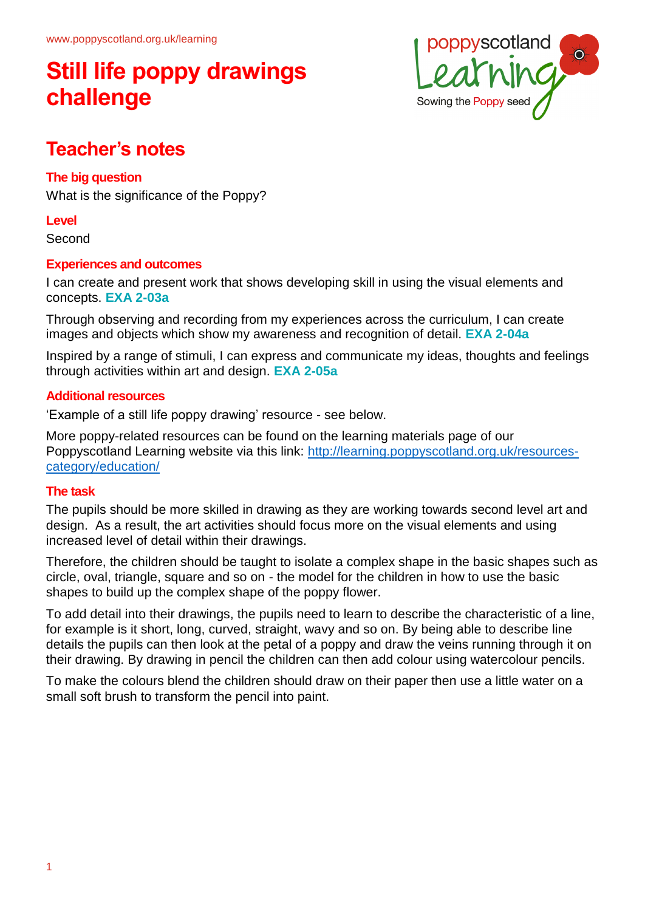# **Still life poppy drawings challenge**



## **Teacher's notes**

### **The big question**

What is the significance of the Poppy?

#### **Level**

Second

#### **Experiences and outcomes**

I can create and present work that shows developing skill in using the visual elements and concepts. **EXA 2-03a**

Through observing and recording from my experiences across the curriculum, I can create images and objects which show my awareness and recognition of detail. **EXA 2-04a**

Inspired by a range of stimuli, I can express and communicate my ideas, thoughts and feelings through activities within art and design. **EXA 2-05a**

### **Additional resources**

'Example of a still life poppy drawing' resource - see below.

More poppy-related resources can be found on the learning materials page of our Poppyscotland Learning website via this link: http://learning.poppyscotland.org.uk/resourcescategory/education/

### **The task**

The pupils should be more skilled in drawing as they are working towards second level art and design. As a result, the art activities should focus more on the visual elements and using increased level of detail within their drawings.

Therefore, the children should be taught to isolate a complex shape in the basic shapes such as circle, oval, triangle, square and so on - the model for the children in how to use the basic shapes to build up the complex shape of the poppy flower.

To add detail into their drawings, the pupils need to learn to describe the characteristic of a line, for example is it short, long, curved, straight, wavy and so on. By being able to describe line details the pupils can then look at the petal of a poppy and draw the veins running through it on their drawing. By drawing in pencil the children can then add colour using watercolour pencils.

To make the colours blend the children should draw on their paper then use a little water on a small soft brush to transform the pencil into paint.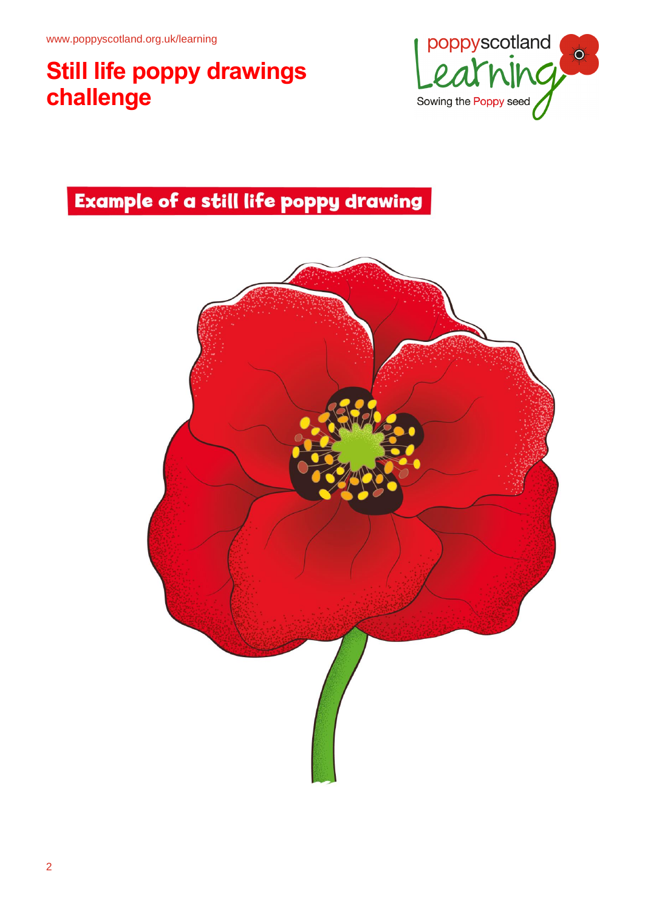# **Still life poppy drawings challenge**



## **Example of a still life poppy drawing**